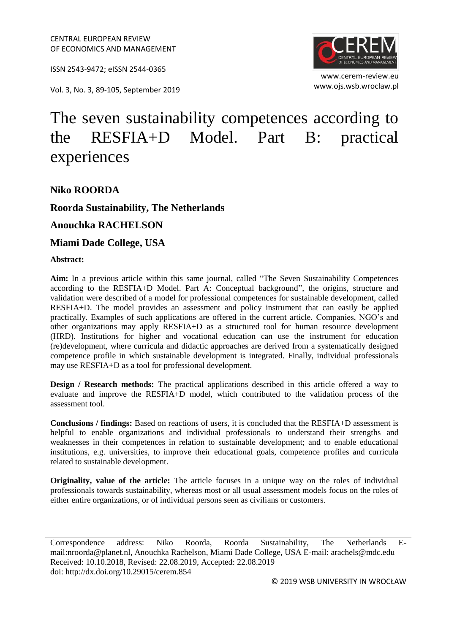ISSN 2543-9472; eISSN 2544-0365

www.ojs.wsb.wroclaw.pl Vol. 3, No. 3, 89-105, September <sup>2019</sup>



www.cerem-review.eu

# The seven sustainability competences according to the RESFIA+D Model. Part B: practical experiences

**Niko ROORDA**

**Roorda Sustainability, The Netherlands**

**Anouchka RACHELSON**

**Miami Dade College, USA**

**Abstract:**

**Aim:** In a previous article within this same journal, called "The Seven Sustainability Competences according to the RESFIA+D Model. Part A: Conceptual background", the origins, structure and validation were described of a model for professional competences for sustainable development, called RESFIA+D. The model provides an assessment and policy instrument that can easily be applied practically. Examples of such applications are offered in the current article. Companies, NGO's and other organizations may apply RESFIA+D as a structured tool for human resource development (HRD). Institutions for higher and vocational education can use the instrument for education (re)development, where curricula and didactic approaches are derived from a systematically designed competence profile in which sustainable development is integrated. Finally, individual professionals may use RESFIA+D as a tool for professional development.

**Design / Research methods:** The practical applications described in this article offered a way to evaluate and improve the RESFIA+D model, which contributed to the validation process of the assessment tool.

**Conclusions / findings:** Based on reactions of users, it is concluded that the RESFIA+D assessment is helpful to enable organizations and individual professionals to understand their strengths and weaknesses in their competences in relation to sustainable development; and to enable educational institutions, e.g. universities, to improve their educational goals, competence profiles and curricula related to sustainable development.

**Originality, value of the article:** The article focuses in a unique way on the roles of individual professionals towards sustainability, whereas most or all usual assessment models focus on the roles of either entire organizations, or of individual persons seen as civilians or customers.

Correspondence address: Niko Roorda, Roorda Sustainability, The Netherlands Email:nroorda@planet.nl, Anouchka Rachelson, Miami Dade College, USA E-mail: arachels@mdc.edu Received: 10.10.2018, Revised: 22.08.2019, Accepted: 22.08.2019 doi: http://dx.doi.org/10.29015/cerem.854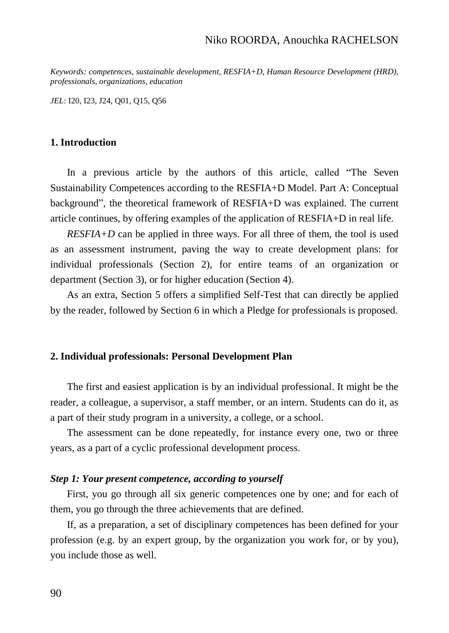*Keywords: competences, sustainable development, RESFIA+D, Human Resource Development (HRD), professionals, organizations, education*

*JEL*: I20, I23, J24, Q01, Q15, Q56

#### **1. Introduction**

In a previous article by the authors of this article, called "The Seven Sustainability Competences according to the RESFIA+D Model. Part A: Conceptual background", the theoretical framework of RESFIA+D was explained. The current article continues, by offering examples of the application of RESFIA+D in real life.

*RESFIA+D* can be applied in three ways. For all three of them, the tool is used as an assessment instrument, paving the way to create development plans: for individual professionals (Section 2), for entire teams of an organization or department (Section 3), or for higher education (Section 4).

As an extra, Section 5 offers a simplified Self-Test that can directly be applied by the reader, followed by Section 6 in which a Pledge for professionals is proposed.

#### **2. Individual professionals: Personal Development Plan**

The first and easiest application is by an individual professional. It might be the reader, a colleague, a supervisor, a staff member, or an intern. Students can do it, as a part of their study program in a university, a college, or a school.

The assessment can be done repeatedly, for instance every one, two or three years, as a part of a cyclic professional development process.

#### *Step 1: Your present competence, according to yourself*

First, you go through all six generic competences one by one; and for each of them, you go through the three achievements that are defined.

If, as a preparation, a set of disciplinary competences has been defined for your profession (e.g. by an expert group, by the organization you work for, or by you), you include those as well.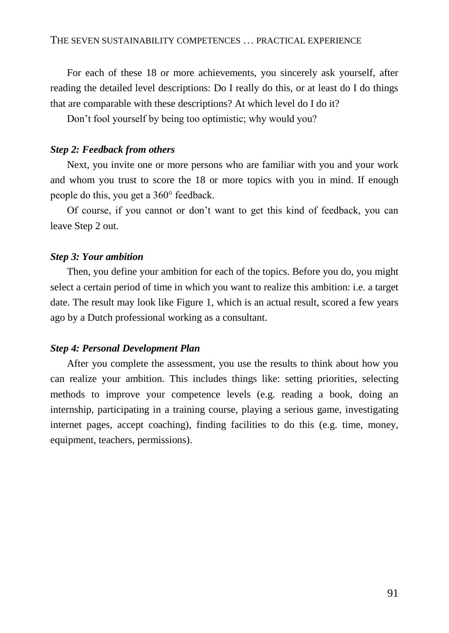For each of these 18 or more achievements, you sincerely ask yourself, after reading the detailed level descriptions: Do I really do this, or at least do I do things that are comparable with these descriptions? At which level do I do it?

Don't fool yourself by being too optimistic; why would you?

#### *Step 2: Feedback from others*

Next, you invite one or more persons who are familiar with you and your work and whom you trust to score the 18 or more topics with you in mind. If enough people do this, you get a 360° feedback.

Of course, if you cannot or don't want to get this kind of feedback, you can leave Step 2 out.

### *Step 3: Your ambition*

Then, you define your ambition for each of the topics. Before you do, you might select a certain period of time in which you want to realize this ambition: i.e. a target date. The result may look like Figure 1, which is an actual result, scored a few years ago by a Dutch professional working as a consultant.

#### *Step 4: Personal Development Plan*

After you complete the assessment, you use the results to think about how you can realize your ambition. This includes things like: setting priorities, selecting methods to improve your competence levels (e.g. reading a book, doing an internship, participating in a training course, playing a serious game, investigating internet pages, accept coaching), finding facilities to do this (e.g. time, money, equipment, teachers, permissions).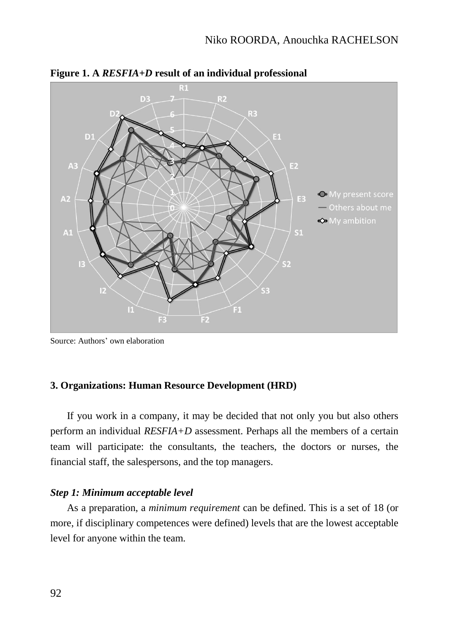

**Figure 1. A** *RESFIA+D* **result of an individual professional**

Source: Authors' own elaboration

## **3. Organizations: Human Resource Development (HRD)**

If you work in a company, it may be decided that not only you but also others perform an individual *RESFIA+D* assessment. Perhaps all the members of a certain team will participate: the consultants, the teachers, the doctors or nurses, the financial staff, the salespersons, and the top managers.

## *Step 1: Minimum acceptable level*

As a preparation, a *minimum requirement* can be defined. This is a set of 18 (or more, if disciplinary competences were defined) levels that are the lowest acceptable level for anyone within the team.